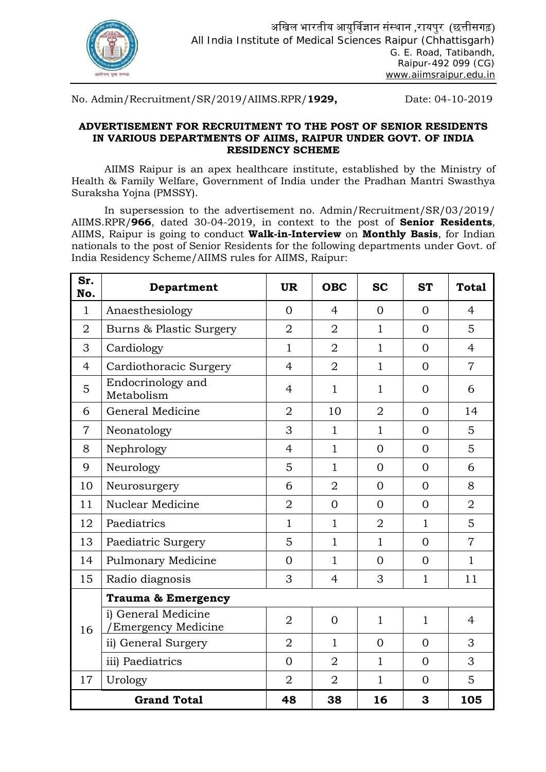

No. Admin/Recruitment/SR/2019/AIIMS.RPR/**1929,** Date: 04-10-2019

### **ADVERTISEMENT FOR RECRUITMENT TO THE POST OF SENIOR RESIDENTS IN VARIOUS DEPARTMENTS OF AIIMS, RAIPUR UNDER GOVT. OF INDIA RESIDENCY SCHEME**

AIIMS Raipur is an apex healthcare institute, established by the Ministry of Health & Family Welfare, Government of India under the Pradhan Mantri Swasthya Suraksha Yojna (PMSSY).

In supersession to the advertisement no. Admin/Recruitment/SR/03/2019/ AIIMS.RPR/**966**, dated 30-04-2019, in context to the post of **Senior Residents**, AIIMS, Raipur is going to conduct **Walk-in-Interview** on **Monthly Basis**, for Indian nationals to the post of Senior Residents for the following departments under Govt. of India Residency Scheme/AIIMS rules for AIIMS, Raipur:

| Sr.<br>No.     | Department                                | <b>UR</b>      | <b>OBC</b>     | <b>SC</b>      | <b>ST</b>      | <b>Total</b>   |
|----------------|-------------------------------------------|----------------|----------------|----------------|----------------|----------------|
| $\mathbf{1}$   | Anaesthesiology                           | $\Omega$       | $\overline{4}$ | $\Omega$       | $\Omega$       | $\overline{4}$ |
| $\overline{2}$ | Burns & Plastic Surgery                   | $\overline{2}$ | $\overline{2}$ | $\mathbf{1}$   | $\Omega$       | 5              |
| 3              | Cardiology                                | $\mathbf{1}$   | $\overline{2}$ | $\mathbf{1}$   | $\Omega$       | $\overline{4}$ |
| $\overline{4}$ | Cardiothoracic Surgery                    | $\overline{4}$ | $\overline{2}$ | $\mathbf{1}$   | $\overline{0}$ | $\overline{7}$ |
| 5              | Endocrinology and<br>Metabolism           | $\overline{4}$ | $\mathbf{1}$   | $\mathbf{1}$   | $\Omega$       | 6              |
| 6              | General Medicine                          | $\overline{2}$ | 10             | $\overline{2}$ | $\overline{0}$ | 14             |
| $\overline{7}$ | Neonatology                               | 3              | $\mathbf{1}$   | $\mathbf{1}$   | $\Omega$       | 5              |
| 8              | Nephrology                                | $\overline{4}$ | $\mathbf{1}$   | $\overline{0}$ | $\Omega$       | 5              |
| 9              | Neurology                                 | 5              | $\mathbf{1}$   | $\overline{0}$ | $\Omega$       | 6              |
| 10             | Neurosurgery                              | 6              | $\overline{2}$ | $\overline{0}$ | $\Omega$       | 8              |
| 11             | Nuclear Medicine                          | $\overline{2}$ | $\Omega$       | $\Omega$       | $\Omega$       | $\overline{2}$ |
| 12             | Paediatrics                               | $\mathbf{1}$   | $\mathbf{1}$   | $\overline{2}$ | $\mathbf{1}$   | 5              |
| 13             | Paediatric Surgery                        | 5              | $\mathbf{1}$   | $\mathbf{1}$   | $\overline{0}$ | $\overline{7}$ |
| 14             | <b>Pulmonary Medicine</b>                 | $\overline{0}$ | $\mathbf{1}$   | $\Omega$       | $\Omega$       | $\mathbf{1}$   |
| 15             | Radio diagnosis                           | 3              | $\overline{4}$ | 3              | $\mathbf{1}$   | 11             |
|                | <b>Trauma &amp; Emergency</b>             |                |                |                |                |                |
| 16             | i) General Medicine<br>Emergency Medicine | $\overline{2}$ | $\overline{0}$ | $\mathbf{1}$   | $\mathbf{1}$   | $\overline{4}$ |
|                | ii) General Surgery                       | $\overline{2}$ | $\mathbf{1}$   | $\Omega$       | $\Omega$       | 3              |
|                | iii) Paediatrics                          | $\overline{0}$ | $\overline{2}$ | $\mathbf{1}$   | $\Omega$       | 3              |
| 17             | Urology                                   | $\overline{2}$ | $\overline{2}$ | $\mathbf{1}$   | $\Omega$       | 5              |
|                | <b>Grand Total</b>                        | 48             | 38             | 16             | 3              | 105            |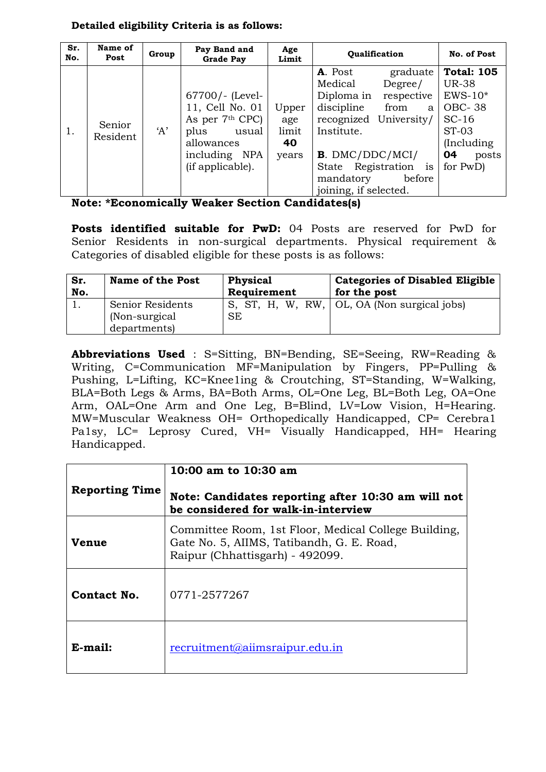### **Detailed eligibility Criteria is as follows:**

| Sr.<br>No. | Name of<br>Post    | Group | Pay Band and<br><b>Grade Pay</b>                                                                                               | Age<br>Limit                         | <b>Oualification</b>                                                                                                                                                                                             | No. of Post                                                                                                                           |
|------------|--------------------|-------|--------------------------------------------------------------------------------------------------------------------------------|--------------------------------------|------------------------------------------------------------------------------------------------------------------------------------------------------------------------------------------------------------------|---------------------------------------------------------------------------------------------------------------------------------------|
|            | Senior<br>Resident | A'    | $67700/-$ (Level-<br>11, Cell No. 01<br>As per 7th CPC)<br>plus<br>usual<br>allowances<br>including<br>NPA<br>(if applicable). | Upper<br>age<br>limit<br>40<br>years | A. Post<br>graduate<br>Medical<br>Degree/<br>Diploma in<br>respective<br>discipline<br>from<br>a<br>University/<br>recognized<br>Institute.<br>$B.$ DMC/DDC/MCI/<br>State Registration is<br>mandatory<br>before | <b>Total: 105</b><br><b>UR-38</b><br>$EWS-10*$<br><b>OBC-38</b><br>$SC-16$<br><b>ST-03</b><br>(Including)<br>04<br>posts<br>for $PwD$ |
|            |                    |       |                                                                                                                                |                                      | joining, if selected.                                                                                                                                                                                            |                                                                                                                                       |

| Note: *Economically Weaker Section Candidates(s) |  |  |  |
|--------------------------------------------------|--|--|--|
|--------------------------------------------------|--|--|--|

**Posts identified suitable for PwD:** 04 Posts are reserved for PwD for Senior Residents in non-surgical departments. Physical requirement & Categories of disabled eligible for these posts is as follows:

| Sr. | <b>Name of the Post</b>                            | <b>Physical</b> | <b>Categories of Disabled Eligible</b>      |  |  |  |  |
|-----|----------------------------------------------------|-----------------|---------------------------------------------|--|--|--|--|
| No. |                                                    | Requirement     | for the post                                |  |  |  |  |
|     | Senior Residents<br>(Non-surgical)<br>departments) | <b>SE</b>       | S, ST, H, W, RW, OL, OA (Non surgical jobs) |  |  |  |  |

**Abbreviations Used** : S=Sitting, BN=Bending, SE=Seeing, RW=Reading & Writing, C=Communication MF=Manipulation by Fingers, PP=Pulling & Pushing, L=Lifting, KC=Knee1ing & Croutching, ST=Standing, W=Walking, BLA=Both Legs & Arms, BA=Both Arms, OL=One Leg, BL=Both Leg, OA=One Arm, OAL=One Arm and One Leg, B=Blind, LV=Low Vision, H=Hearing. MW=Muscular Weakness OH= Orthopedically Handicapped, CP= Cerebra1 Pa1sy, LC= Leprosy Cured, VH= Visually Handicapped, HH= Hearing Handicapped.

|                       | 10:00 am to 10:30 am                                                                                                                 |
|-----------------------|--------------------------------------------------------------------------------------------------------------------------------------|
| <b>Reporting Time</b> | Note: Candidates reporting after 10:30 am will not<br>be considered for walk-in-interview                                            |
| <b>Venue</b>          | Committee Room, 1st Floor, Medical College Building,<br>Gate No. 5, AIIMS, Tatibandh, G. E. Road,<br>Raipur (Chhattisgarh) - 492099. |
| Contact No.           | 0771-2577267                                                                                                                         |
| E-mail:               | recruitment@aiimsraipur.edu.in                                                                                                       |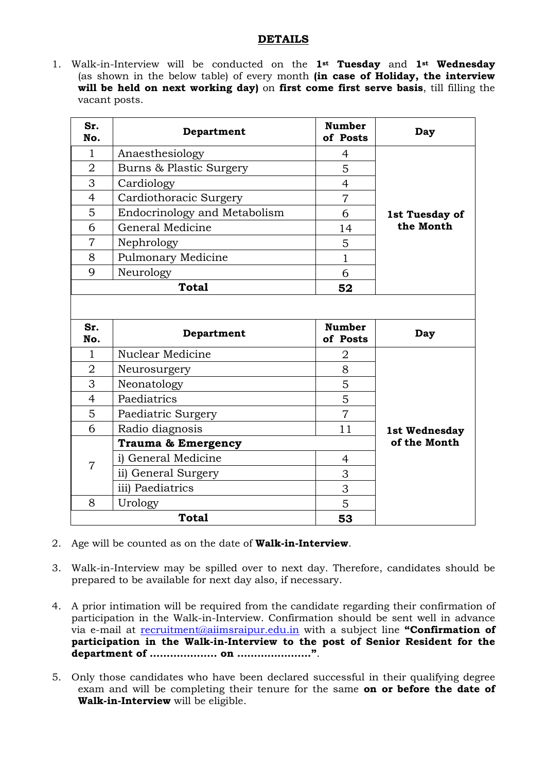### **DETAILS**

1. Walk-in-Interview will be conducted on the **1st Tuesday** and **1st Wednesday** (as shown in the below table) of every month **(in case of Holiday, the interview will be held on next working day)** on **first come first serve basis**, till filling the vacant posts.

| Sr.<br>No.     | Department                    | <b>Number</b><br>of Posts | Day            |
|----------------|-------------------------------|---------------------------|----------------|
| $\mathbf{1}$   | Anaesthesiology               | 4                         |                |
| $\overline{2}$ | Burns & Plastic Surgery       | 5                         |                |
| 3              | Cardiology                    | $\overline{4}$            |                |
| $\overline{4}$ | Cardiothoracic Surgery        | $\overline{7}$            |                |
| 5              | Endocrinology and Metabolism  | 6                         | 1st Tuesday of |
| 6              | General Medicine              | 14                        | the Month      |
| 7              | Nephrology                    | 5                         |                |
| 8              | <b>Pulmonary Medicine</b>     | $\mathbf{1}$              |                |
| 9              | Neurology                     | 6                         |                |
|                | <b>Total</b>                  | 52                        |                |
|                |                               |                           |                |
| Sr.            |                               |                           |                |
| No.            | Department                    | <b>Number</b><br>of Posts | Day            |
| $\mathbf{1}$   | Nuclear Medicine              | $\overline{2}$            |                |
| $\overline{2}$ | Neurosurgery                  | 8                         |                |
| 3              | Neonatology                   | 5                         |                |
| $\overline{4}$ | Paediatrics                   | 5                         |                |
| 5              | Paediatric Surgery            | $\overline{7}$            |                |
| 6              | Radio diagnosis               | 11                        | 1st Wednesday  |
|                | <b>Trauma &amp; Emergency</b> |                           | of the Month   |
|                | i) General Medicine           | $\overline{4}$            |                |
| 7              | ii) General Surgery           | 3                         |                |
|                | iii) Paediatrics              | 3                         |                |
| 8              | Urology                       | 5                         |                |

- 2. Age will be counted as on the date of **Walk-in-Interview**.
- 3. Walk-in-Interview may be spilled over to next day. Therefore, candidates should be prepared to be available for next day also, if necessary.
- 4. A prior intimation will be required from the candidate regarding their confirmation of participation in the Walk-in-Interview. Confirmation should be sent well in advance via e-mail at [recruitment@aiimsraipur.edu.in](mailto:recruitment@aiimsraipur.edu.in) with a subject line **"Confirmation of participation in the Walk-in-Interview to the post of Senior Resident for the department of ……………….. on …………………."**.
- 5. Only those candidates who have been declared successful in their qualifying degree exam and will be completing their tenure for the same **on or before the date of Walk-in-Interview** will be eligible.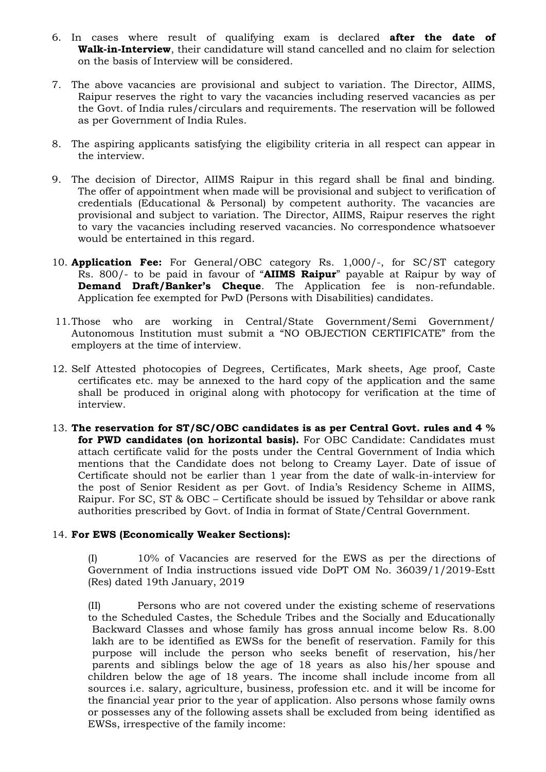- 6. In cases where result of qualifying exam is declared **after the date of Walk-in-Interview**, their candidature will stand cancelled and no claim for selection on the basis of Interview will be considered.
- 7. The above vacancies are provisional and subject to variation. The Director, AIIMS, Raipur reserves the right to vary the vacancies including reserved vacancies as per the Govt. of India rules/circulars and requirements. The reservation will be followed as per Government of India Rules.
- 8. The aspiring applicants satisfying the eligibility criteria in all respect can appear in the interview.
- 9. The decision of Director, AIIMS Raipur in this regard shall be final and binding. The offer of appointment when made will be provisional and subject to verification of credentials (Educational & Personal) by competent authority. The vacancies are provisional and subject to variation. The Director, AIIMS, Raipur reserves the right to vary the vacancies including reserved vacancies. No correspondence whatsoever would be entertained in this regard.
- 10. **Application Fee:** For General/OBC category Rs. 1,000/-, for SC/ST category Rs. 800/- to be paid in favour of "**AIIMS Raipur**" payable at Raipur by way of **Demand Draft/Banker's Cheque**. The Application fee is non-refundable. Application fee exempted for PwD (Persons with Disabilities) candidates.
- 11.Those who are working in Central/State Government/Semi Government/ Autonomous Institution must submit a "NO OBJECTION CERTIFICATE" from the employers at the time of interview.
- 12. Self Attested photocopies of Degrees, Certificates, Mark sheets, Age proof, Caste certificates etc. may be annexed to the hard copy of the application and the same shall be produced in original along with photocopy for verification at the time of interview.
- 13. **The reservation for ST/SC/OBC candidates is as per Central Govt. rules and 4 % for PWD candidates (on horizontal basis).** For OBC Candidate: Candidates must attach certificate valid for the posts under the Central Government of India which mentions that the Candidate does not belong to Creamy Layer. Date of issue of Certificate should not be earlier than 1 year from the date of walk-in-interview for the post of Senior Resident as per Govt. of India's Residency Scheme in AIIMS, Raipur. For SC, ST & OBC – Certificate should be issued by Tehsildar or above rank authorities prescribed by Govt. of India in format of State/Central Government.

### 14. **For EWS (Economically Weaker Sections):**

(I) 10% of Vacancies are reserved for the EWS as per the directions of Government of India instructions issued vide DoPT OM No. 36039/1/2019-Estt (Res) dated 19th January, 2019

(II) Persons who are not covered under the existing scheme of reservations to the Scheduled Castes, the Schedule Tribes and the Socially and Educationally Backward Classes and whose family has gross annual income below Rs. 8.00 lakh are to be identified as EWSs for the benefit of reservation. Family for this purpose will include the person who seeks benefit of reservation, his/her parents and siblings below the age of 18 years as also his/her spouse and children below the age of 18 years. The income shall include income from all sources i.e. salary, agriculture, business, profession etc. and it will be income for the financial year prior to the year of application. Also persons whose family owns or possesses any of the following assets shall be excluded from being identified as EWSs, irrespective of the family income: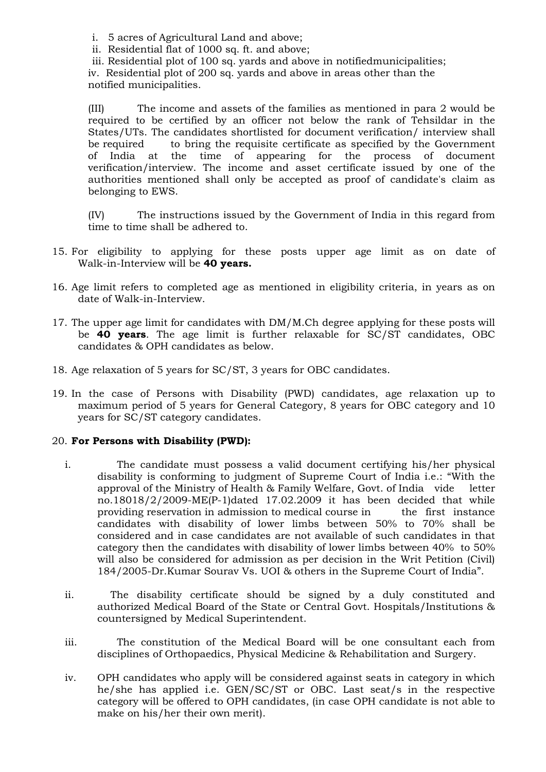i. 5 acres of Agricultural Land and above;

- ii. Residential flat of 1000 sq. ft. and above;
- iii. Residential plot of 100 sq. yards and above in notifiedmunicipalities;

iv. Residential plot of 200 sq. yards and above in areas other than the notified municipalities.

(III) The income and assets of the families as mentioned in para 2 would be required to be certified by an officer not below the rank of Tehsildar in the States/UTs. The candidates shortlisted for document verification/ interview shall be required to bring the requisite certificate as specified by the Government of India at the time of appearing for the process of document the time of appearing for the process of document verification/interview. The income and asset certificate issued by one of the authorities mentioned shall only be accepted as proof of candidate's claim as belonging to EWS.

(IV) The instructions issued by the Government of India in this regard from time to time shall be adhered to.

- 15. For eligibility to applying for these posts upper age limit as on date of Walk-in-Interview will be **40 years.**
- 16. Age limit refers to completed age as mentioned in eligibility criteria, in years as on date of Walk-in-Interview.
- 17. The upper age limit for candidates with DM/M.Ch degree applying for these posts will be **40 years**. The age limit is further relaxable for SC/ST candidates, OBC candidates & OPH candidates as below.
- 18. Age relaxation of 5 years for SC/ST, 3 years for OBC candidates.
- 19. In the case of Persons with Disability (PWD) candidates, age relaxation up to maximum period of 5 years for General Category, 8 years for OBC category and 10 years for SC/ST category candidates.

### 20. **For Persons with Disability (PWD):**

- i. The candidate must possess a valid document certifying his/her physical disability is conforming to judgment of Supreme Court of India i.e.: "With the approval of the Ministry of Health & Family Welfare, Govt. of India vide letter no.18018/2/2009-ME(P-1)dated 17.02.2009 it has been decided that while providing reservation in admission to medical course in the first instance candidates with disability of lower limbs between 50% to 70% shall be considered and in case candidates are not available of such candidates in that category then the candidates with disability of lower limbs between 40% to 50% will also be considered for admission as per decision in the Writ Petition (Civil) 184/2005-Dr.Kumar Sourav Vs. UOI & others in the Supreme Court of India".
- ii. The disability certificate should be signed by a duly constituted and authorized Medical Board of the State or Central Govt. Hospitals/Institutions & countersigned by Medical Superintendent.
- iii. The constitution of the Medical Board will be one consultant each from disciplines of Orthopaedics, Physical Medicine & Rehabilitation and Surgery.
- iv. OPH candidates who apply will be considered against seats in category in which he/she has applied i.e. GEN/SC/ST or OBC. Last seat/s in the respective category will be offered to OPH candidates, (in case OPH candidate is not able to make on his/her their own merit).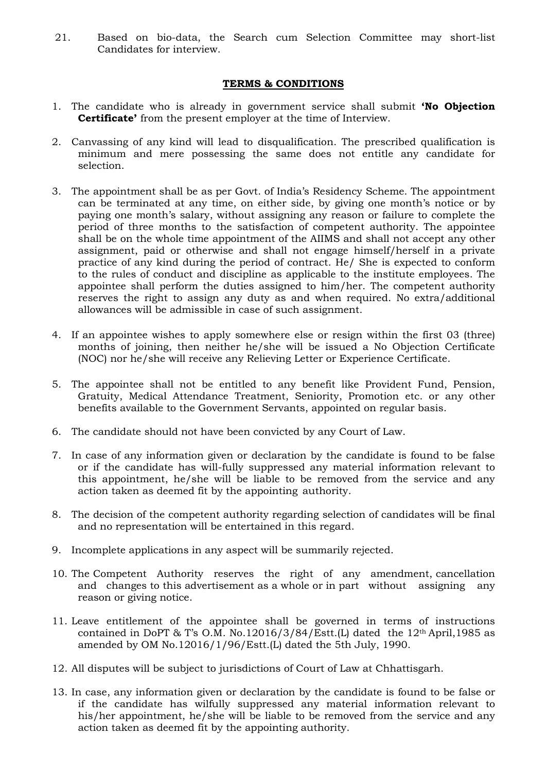21. Based on bio-data, the Search cum Selection Committee may short-list Candidates for interview.

### **TERMS & CONDITIONS**

- 1. The candidate who is already in government service shall submit **'No Objection Certificate'** from the present employer at the time of Interview.
- 2. Canvassing of any kind will lead to disqualification. The prescribed qualification is minimum and mere possessing the same does not entitle any candidate for selection.
- 3. The appointment shall be as per Govt. of India's Residency Scheme. The appointment can be terminated at any time, on either side, by giving one month's notice or by paying one month's salary, without assigning any reason or failure to complete the period of three months to the satisfaction of competent authority. The appointee shall be on the whole time appointment of the AIIMS and shall not accept any other assignment, paid or otherwise and shall not engage himself/herself in a private practice of any kind during the period of contract. He/ She is expected to conform to the rules of conduct and discipline as applicable to the institute employees. The appointee shall perform the duties assigned to him/her. The competent authority reserves the right to assign any duty as and when required. No extra/additional allowances will be admissible in case of such assignment.
- 4. If an appointee wishes to apply somewhere else or resign within the first 03 (three) months of joining, then neither he/she will be issued a No Objection Certificate (NOC) nor he/she will receive any Relieving Letter or Experience Certificate.
- 5. The appointee shall not be entitled to any benefit like Provident Fund, Pension, Gratuity, Medical Attendance Treatment, Seniority, Promotion etc. or any other benefits available to the Government Servants, appointed on regular basis.
- 6. The candidate should not have been convicted by any Court of Law.
- 7. In case of any information given or declaration by the candidate is found to be false or if the candidate has will-fully suppressed any material information relevant to this appointment, he/she will be liable to be removed from the service and any action taken as deemed fit by the appointing authority.
- 8. The decision of the competent authority regarding selection of candidates will be final and no representation will be entertained in this regard.
- 9. Incomplete applications in any aspect will be summarily rejected.
- 10. The Competent Authority reserves the right of any amendment, cancellation and changes to this advertisement as a whole or in part without assigning any reason or giving notice.
- 11. Leave entitlement of the appointee shall be governed in terms of instructions contained in DoPT & T's O.M. No.12016/3/84/Estt.(L) dated the  $12<sup>th</sup>$  April, 1985 as amended by OM No.12016/1/96/Estt.(L) dated the 5th July, 1990.
- 12. All disputes will be subject to jurisdictions of Court of Law at Chhattisgarh.
- 13. In case, any information given or declaration by the candidate is found to be false or if the candidate has wilfully suppressed any material information relevant to his/her appointment, he/she will be liable to be removed from the service and any action taken as deemed fit by the appointing authority.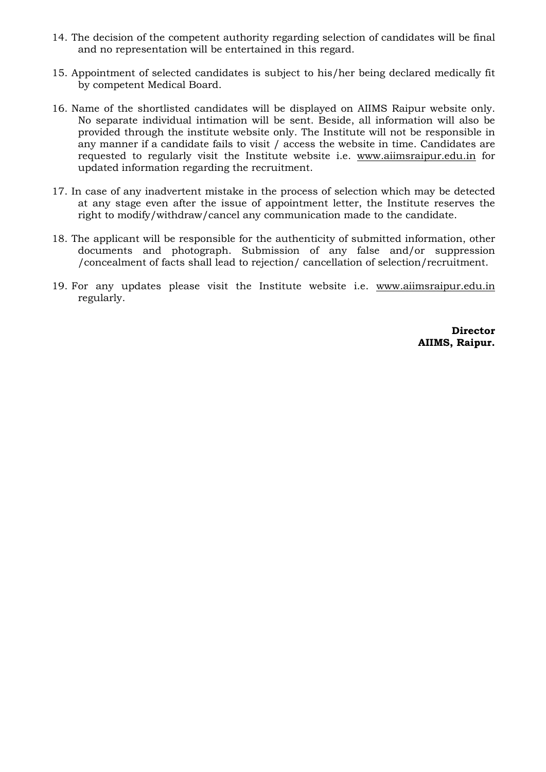- 14. The decision of the competent authority regarding selection of candidates will be final and no representation will be entertained in this regard.
- 15. Appointment of selected candidates is subject to his/her being declared medically fit by competent Medical Board.
- 16. Name of the shortlisted candidates will be displayed on AIIMS Raipur website only. No separate individual intimation will be sent. Beside, all information will also be provided through the institute website only. The Institute will not be responsible in any manner if a candidate fails to visit / access the website in time. Candidates are requested to regularly visit the Institute website i.e. www.aiimsraipur.edu.in for updated information regarding the recruitment.
- 17. In case of any inadvertent mistake in the process of selection which may be detected at any stage even after the issue of appointment letter, the Institute reserves the right to modify/withdraw/cancel any communication made to the candidate.
- 18. The applicant will be responsible for the authenticity of submitted information, other documents and photograph. Submission of any false and/or suppression /concealment of facts shall lead to rejection/ cancellation of selection/recruitment.
- 19. For any updates please visit the Institute website i.e. www.aiimsraipur.edu.in regularly.

**Director AIIMS, Raipur.**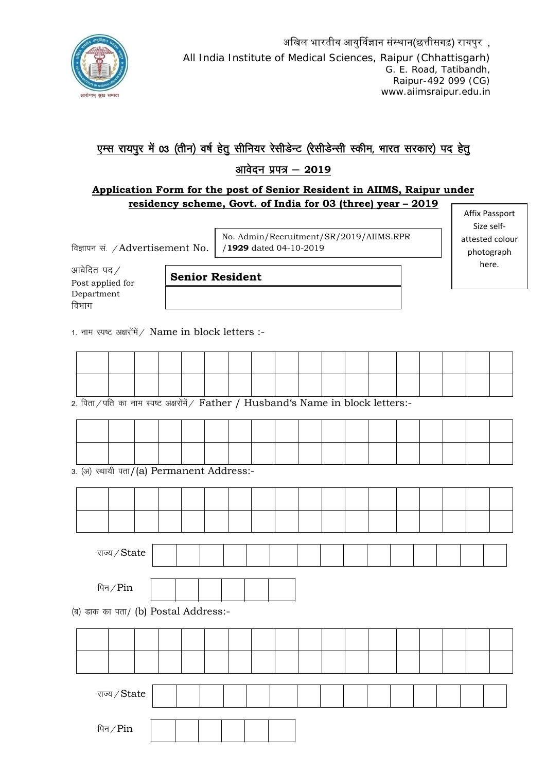

# एम्स रायपुर में 03 (तीन) वर्ष हेतु सीनियर रेसीडेन्ट (रेसीडेन्सी स्कीम, भारत सरकार) पद हेतु

## आवेदन प्रपत्र - 2019

### **Application Form for the post of Senior Resident in AIIMS, Raipur under residency scheme, Govt. of India for 03 (three) year – 2019**

विज्ञापन सं. / Advertisement No.

No. Admin/Recruitment/SR/2019/AIIMS.RPR /**1929** dated 04-10-2019

आवेदित पद $\angle$ Post applied for Department विभाग

**Senior Resident**

1. नाम स्पष्ट अक्षरोंमें / Name in block letters :-

2. पिता/पति का नाम स्पष्ट अक्षरोंमें/ Father / Husband's Name in block letters:-

|  | $\alpha$ (i) $\pi$ $\pi$ $\pi$ (o) Dormonont Address. |  |  |  |  |  |  |  |  |
|--|-------------------------------------------------------|--|--|--|--|--|--|--|--|

3. (अ) स्थायी पता/(a) Permanent Address:-

|                                      | राज्य $\angle$ State    |  |  |  |  |  |  |  |  |
|--------------------------------------|-------------------------|--|--|--|--|--|--|--|--|
|                                      | पिन $\sqrt{\text{Pin}}$ |  |  |  |  |  |  |  |  |
| (ब) डाक का पता/ (b) Postal Address:- |                         |  |  |  |  |  |  |  |  |
|                                      |                         |  |  |  |  |  |  |  |  |

Affix Passport Size selfattested colour photograph here.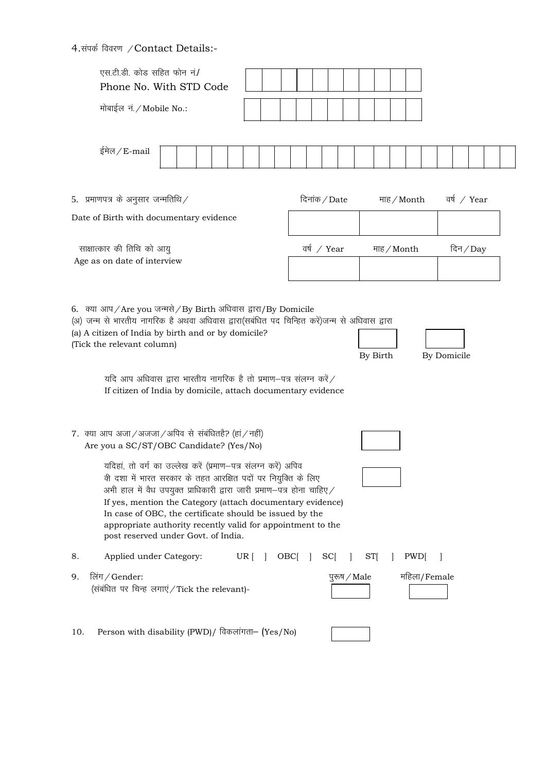4.संपर्क विवरण / Contact Details:-

| एस.टी.डी. कोड सहित फोन नं./<br>Phone No. With STD Code                                                                                                                                                                                                                                                                                                                                                                                  |                        |              |             |
|-----------------------------------------------------------------------------------------------------------------------------------------------------------------------------------------------------------------------------------------------------------------------------------------------------------------------------------------------------------------------------------------------------------------------------------------|------------------------|--------------|-------------|
| मोबाईल नं. / Mobile No.:                                                                                                                                                                                                                                                                                                                                                                                                                |                        |              |             |
| ईमेल / E-mail                                                                                                                                                                                                                                                                                                                                                                                                                           |                        |              |             |
| 5. प्रमाणपत्र के अनुसार जन्मतिथि $\angle$                                                                                                                                                                                                                                                                                                                                                                                               | दिनांक / Date          | माह / Month  | वर्ष / Year |
| Date of Birth with documentary evidence                                                                                                                                                                                                                                                                                                                                                                                                 |                        |              |             |
| साक्षात्कार की तिथि को आयु<br>Age as on date of interview                                                                                                                                                                                                                                                                                                                                                                               | वर्ष / Year            | माह / Month  | दिन $/Day$  |
|                                                                                                                                                                                                                                                                                                                                                                                                                                         |                        |              |             |
| 6. क्या आप/Are you जन्मसे/By Birth अधिवास द्वारा/By Domicile<br>(अ) जन्म से भारतीय नागरिक है अथवा अधिवास द्वारा(सबंधित पद चिन्हित करें)जन्म से अधिवास द्वारा<br>(a) A citizen of India by birth and or by domicile?<br>(Tick the relevant column)<br>यदि आप अधिवास द्वारा भारतीय नागरिक है तो प्रमाण-पत्र संलग्न करें $\angle$<br>If citizen of India by domicile, attach documentary evidence                                          |                        | By Birth     | By Domicile |
| 7. क्या आप अजा/अजजा/अपिव से संबंधितहै? (हां/नहीं)<br>Are you a SC/ST/OBC Candidate? (Yes/No)                                                                                                                                                                                                                                                                                                                                            |                        |              |             |
| यदिहां, तो वर्ग का उल्लेख करें (प्रमाण–पत्र संलग्न करें) अपिव<br>वी दशा में भारत सरकार के तहत आरक्षित पदों पर नियुक्ति के लिए<br>अभी हाल में वैध उपयुक्त प्राधिकारी द्वारा जारी प्रमाण-पत्र होना चाहिए /<br>If yes, mention the Category (attach documentary evidence)<br>In case of OBC, the certificate should be issued by the<br>appropriate authority recently valid for appointment to the<br>post reserved under Govt. of India. |                        |              |             |
| Applied under Category:<br>$UR$ $\begin{bmatrix} \end{bmatrix}$<br>8.                                                                                                                                                                                                                                                                                                                                                                   | $OBC[$ ]<br><b>SCI</b> | ST[<br>PWD[  |             |
| लिंग/Gender:<br>9.<br>(संबंधित पर चिन्ह लगाएं / Tick the relevant)-                                                                                                                                                                                                                                                                                                                                                                     | पुरुष / Male           | महिला/Female |             |
| Person with disability (PWD)/ विकलांगता- (Yes/No)<br>10.                                                                                                                                                                                                                                                                                                                                                                                |                        |              |             |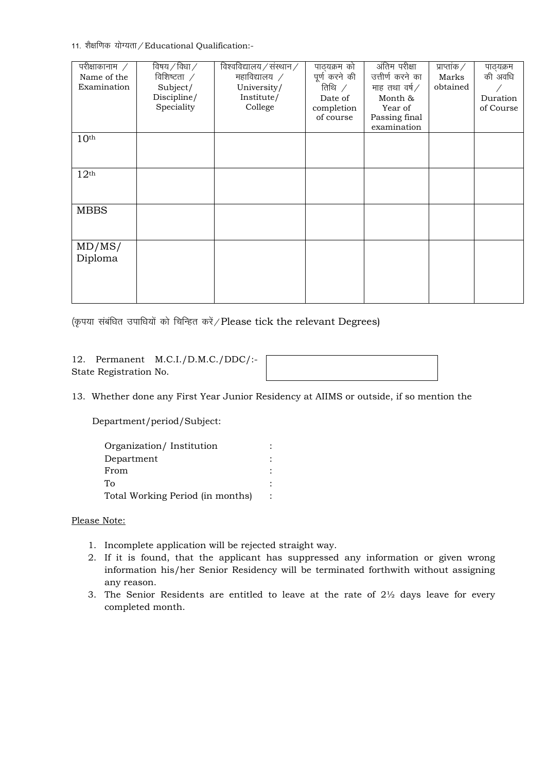11. शैक्षणिक योग्यता / Educational Qualification:-

| परीक्षाकानाम $\hspace{0.1cm}$ /<br>Name of the<br>Examination | विषय $/$ विधा $/$<br>विशिष्टता $\angle$<br>Subject/ | विश्वविद्यालय / संस्थान /<br>महाविद्यालय $\not$<br>University/ | पाठ्यक्रम को<br>पूर्ण करने की<br>तिथि $\angle$ | अंतिम परीक्षा<br>उत्तीर्ण करने का<br>माह तथा वर्ष $\angle$ | प्राप्तांक $\angle$<br>Marks<br>obtained | पाठ्यक्रम<br>की अवधि  |
|---------------------------------------------------------------|-----------------------------------------------------|----------------------------------------------------------------|------------------------------------------------|------------------------------------------------------------|------------------------------------------|-----------------------|
|                                                               | Discipline/<br>Speciality                           | Institute/<br>College                                          | Date of<br>completion<br>of course             | Month &<br>Year of<br>Passing final<br>examination         |                                          | Duration<br>of Course |
| 10 <sup>th</sup>                                              |                                                     |                                                                |                                                |                                                            |                                          |                       |
| 12 <sup>th</sup>                                              |                                                     |                                                                |                                                |                                                            |                                          |                       |
| <b>MBBS</b>                                                   |                                                     |                                                                |                                                |                                                            |                                          |                       |
| MD/MS/<br>Diploma                                             |                                                     |                                                                |                                                |                                                            |                                          |                       |

(कृपया संबंधित उपाधियों को चिन्हित करें / Please tick the relevant Degrees)

12. Permanent M.C.I./D.M.C./DDC/:- State Registration No.

13. Whether done any First Year Junior Residency at AIIMS or outside, if so mention the

Department/period/Subject:

| Organization/Institution         |  |  |
|----------------------------------|--|--|
| Department                       |  |  |
| From                             |  |  |
| ፐი                               |  |  |
| Total Working Period (in months) |  |  |

#### Please Note:

- 1. Incomplete application will be rejected straight way.
- 2. If it is found, that the applicant has suppressed any information or given wrong information his/her Senior Residency will be terminated forthwith without assigning any reason.
- 3. The Senior Residents are entitled to leave at the rate of  $2\frac{1}{2}$  days leave for every completed month.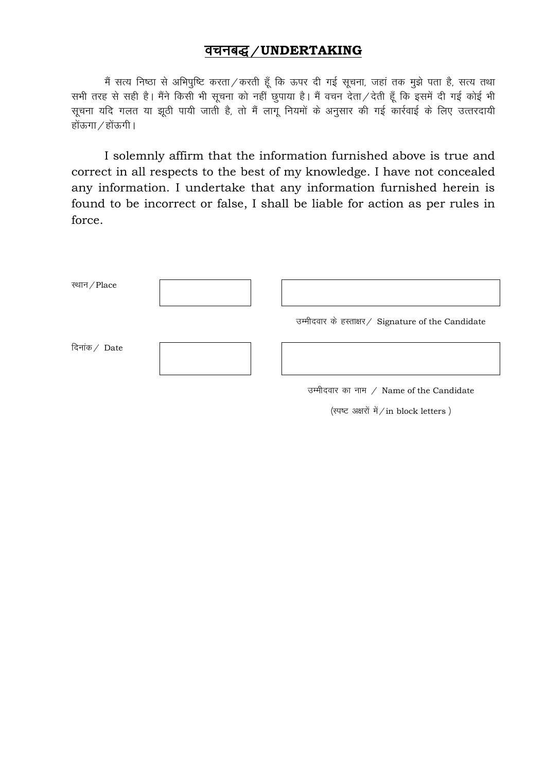## वचनबद्ध / UNDERTAKING

मैं सत्य निष्ठा से अभिपुष्टि करता/करती हूँ कि ऊपर दी गई सूचना, जहां तक मुझे पता है, सत्य तथा सभी तरह से सही है। मैंने किसी भी सूचना को नहीं छुपाया है। मैं वचन देता / देती हूँ कि इसमें दी गई कोई भी सूचना यदि गलत या झूठी पायी जाती है, तो मैं लागू नियमों के अनुसार की गई कार्रवाई के लिए उत्तरदायी होंऊगा $\mathcal{A}$ होंऊगी।

I solemnly affirm that the information furnished above is true and correct in all respects to the best of my knowledge. I have not concealed any information. I undertake that any information furnished herein is found to be incorrect or false, I shall be liable for action as per rules in force.

| स्थान / Place |                                                    |
|---------------|----------------------------------------------------|
|               | उम्मीदवार के हस्ताक्षर/ Signature of the Candidate |
| दिनांक/ Date  |                                                    |
|               | उम्मीदवार का नाम / Name of the Candidate           |
|               | (स्पष्ट अक्षरों में/in block letters)              |